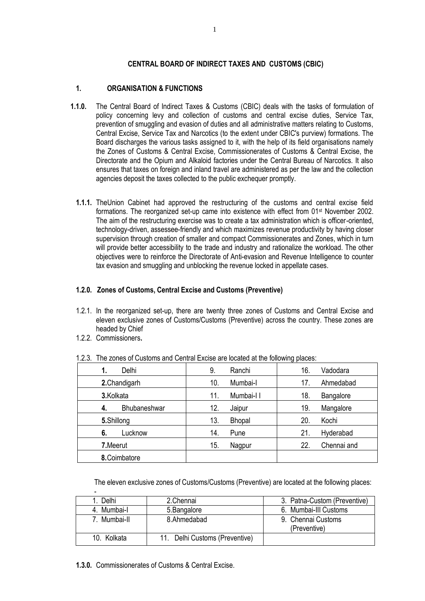### **CENTRAL BOARD OF INDIRECT TAXES AND CUSTOMS (CBIC)**

## **1. ORGANISATION & FUNCTIONS**

- **1.1.0.** The Central Board of Indirect Taxes & Customs (CBIC) deals with the tasks of formulation of policy concerning levy and collection of customs and central excise duties, Service Tax, prevention of smuggling and evasion of duties and all administrative matters relating to Customs, Central Excise, Service Tax and Narcotics (to the extent under CBIC's purview) formations. The Board discharges the various tasks assigned to it, with the help of its field organisations namely the Zones of Customs & Central Excise, Commissionerates of Customs & Central Excise, the Directorate and the Opium and Alkaloid factories under the Central Bureau of Narcotics. It also ensures that taxes on foreign and inland travel are administered as per the law and the collection agencies deposit the taxes collected to the public exchequer promptly.
	- **1.1.1.** TheUnion Cabinet had approved the restructuring of the customs and central excise field formations. The reorganized set-up came into existence with effect from 01<sup>st</sup> November 2002. The aim of the restructuring exercise was to create a tax administration which is officer-oriented, technology-driven, assessee-friendly and which maximizes revenue productivity by having closer supervision through creation of smaller and compact Commissionerates and Zones, which in turn will provide better accessibility to the trade and industry and rationalize the workload. The other objectives were to reinforce the Directorate of Anti-evasion and Revenue Intelligence to counter tax evasion and smuggling and unblocking the revenue locked in appellate cases.

## **1.2.0. Zones of Customs, Central Excise and Customs (Preventive)**

- 1.2.1. In the reorganized set-up, there are twenty three zones of Customs and Central Excise and eleven exclusive zones of Customs/Customs (Preventive) across the country. These zones are headed by Chief
- 1.2.2. Commissioners**.**

|                    |     |               | at are rememberg proced |             |
|--------------------|-----|---------------|-------------------------|-------------|
| Delhi<br>1.        | 9.  | Ranchi        | 16.                     | Vadodara    |
| 2. Chandigarh      | 10. | Mumbai-I      | 17                      | Ahmedabad   |
| 3.Kolkata          | 11. | Mumbai-II     | 18.                     | Bangalore   |
| Bhubaneshwar<br>4. | 12. | Jaipur        | 19.                     | Mangalore   |
| 5.Shillong         | 13. | <b>Bhopal</b> | 20.                     | Kochi       |
| 6.<br>Lucknow      | 14. | Pune          | 21.                     | Hyderabad   |
| 7.Meerut           | 15. | Nagpur        | 22.                     | Chennai and |
| 8. Coimbatore      |     |               |                         |             |

1.2.3. The zones of Customs and Central Excise are located at the following places:

The eleven exclusive zones of Customs/Customs (Preventive) are located at the following places:

| -            |                                |                                    |
|--------------|--------------------------------|------------------------------------|
| Delhi        | 2. Chennai                     | 3. Patna-Custom (Preventive)       |
| 4. Mumbai-l  | 5. Bangalore                   | 6. Mumbai-III Customs              |
| 7. Mumbai-II | 8.Ahmedabad                    | 9. Chennai Customs<br>(Preventive) |
| 10. Kolkata  | 11. Delhi Customs (Preventive) |                                    |

**1.3.0.** Commissionerates of Customs & Central Excise.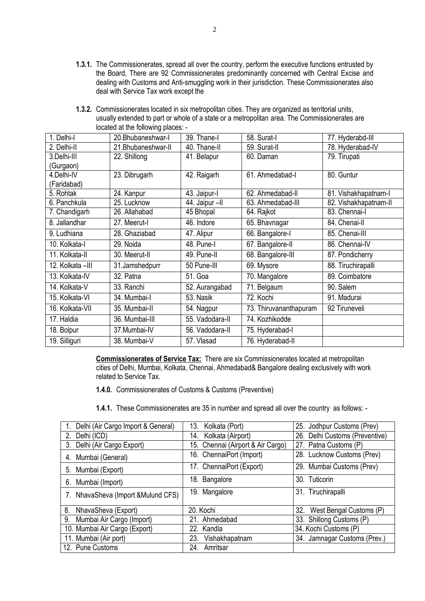- **1.3.1.** The Commissionerates, spread all over the country, perform the executive functions entrusted by the Board, There are 92 Commissionerates predominantly concerned with Central Excise and dealing with Customs and Anti-smuggling work in their jurisdiction. These Commissionerates also deal with Service Tax work except the
- **1.3.2.** Commissionerates located in six metropolitan cities. They are organized as territorial units, usually extended to part or whole of a state or a metropolitan area. The Commissionerates are located at the following places: -

| 1. Delhi-l        | 20.Bhubaneshwar-I  | 39. Thane-I     | 58. Surat-I            | 77. Hyderabd-III      |
|-------------------|--------------------|-----------------|------------------------|-----------------------|
| 2. Delhi-II       | 21.Bhubaneshwar-II | 40. Thane-II    | 59. Surat-II           | 78. Hyderabad-IV      |
| 3.Delhi-III       | 22. Shillong       | 41. Belapur     | 60. Daman              | 79. Tirupati          |
| (Gurgaon)         |                    |                 |                        |                       |
| 4.Delhi-IV        | 23. Dibrugarh      | 42. Raigarh     | 61. Ahmedabad-I        | 80. Guntur            |
| (Faridabad)       |                    |                 |                        |                       |
| 5. Rohtak         | 24. Kanpur         | 43. Jaipur-l    | 62. Ahmedabad-II       | 81. Vishakhapatnam-l  |
| 6. Panchkula      | 25. Lucknow        | 44. Jaipur - Il | 63. Ahmedabad-III      | 82. Vishakhapatnam-II |
| 7. Chandigarh     | 26. Allahabad      | 45 Bhopal       | 64. Rajkot             | 83. Chennai-l         |
| 8. Jallandhar     | 27. Meerut-I       | 46. Indore      | 65. Bhavnagar          | 84. Chenai-II         |
| 9. Ludhiana       | 28. Ghaziabad      | 47. Alipur      | 66. Bangalore-I        | 85. Chenai-III        |
| 10. Kolkata-I     | 29. Noida          | 48. Pune-I      | 67. Bangalore-II       | 86. Chennai-IV        |
| 11. Kolkata-II    | 30. Meerut-II      | 49. Pune-II     | 68. Bangalore-III      | 87. Pondicherry       |
| 12. Kolkata - III | 31.Jamshedpurr     | 50 Pune-III     | 69. Mysore             | 88. Tiruchirapalli    |
| 13. Kolkata-IV    | 32. Patna          | 51. Goa         | 70. Mangalore          | 89. Coimbatore        |
| 14. Kolkata-V     | 33. Ranchi         | 52. Aurangabad  | 71. Belgaum            | 90. Salem             |
| 15. Kolkata-VI    | 34. Mumbai-l       | 53. Nasik       | 72. Kochi              | 91. Madurai           |
| 16. Kolkata-VII   | 35. Mumbai-II      | 54. Nagpur      | 73. Thiruvananthapuram | 92 Tiruneveli         |
| 17. Haldia        | 36. Mumbai-III     | 55. Vadodara-II | 74. Kozhikodde         |                       |
| 18. Bolpur        | 37.Mumbai-IV       | 56. Vadodara-II | 75. Hyderabad-I        |                       |
| 19. Silliguri     | 38. Mumbai-V       | 57. Vlasad      | 76. Hyderabad-II       |                       |

**Commissionerates of Service Tax:** There are six Commissionerates located at metropolitan cities of Delhi, Mumbai, Kolkata, Chennai, Ahmedabad& Bangalore dealing exclusively with work related to Service Tax.

**1.4.0.** Commissionerates of Customs & Customs (Preventive)

**1.4.1.** These Commissionerates are 35 in number and spread all over the country as follows: -

| Delhi (Air Cargo Import & General)  | Kolkata (Port)<br>13.             | 25. Jodhpur Customs (Prev)     |
|-------------------------------------|-----------------------------------|--------------------------------|
| Delhi (ICD)<br>2.                   | Kolkata (Airport)<br>14.          | 26. Delhi Customs (Preventive) |
| Delhi (Air Cargo Export)<br>3.      | 15. Chennai (Airport & Air Cargo) | 27. Patna Customs (P)          |
| Mumbai (General)<br>4.              | 16. ChennaiPort (Import)          | 28. Lucknow Customs (Prev)     |
| Mumbai (Export)<br>5.               | 17. ChennaiPort (Export)          | 29. Mumbai Customs (Prev)      |
| Mumbai (Import)<br>6.               | 18. Bangalore                     | 30. Tuticorin                  |
| 7. NhavaSheva (Import & Mulund CFS) | 19. Mangalore                     | 31. Tiruchirapalli             |
| 8.<br>NhavaSheva (Export)           | 20. Kochi                         | 32.<br>West Bengal Customs (P) |
| Mumbai Air Cargo (Import)<br>9.     | 21. Ahmedabad                     | 33. Shillong Customs (P)       |
| 10. Mumbai Air Cargo (Export)       | 22. Kandla                        | 34. Kochi Customs (P)          |
| 11. Mumbai (Air port)               | Vishakhapatnam<br>23.             | 34. Jamnagar Customs (Prev.)   |
| 12. Pune Customs                    | 24.<br>Amritsar                   |                                |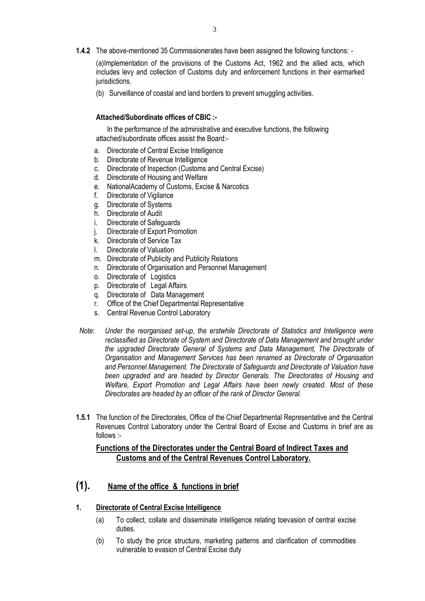**1.4.2** The above-mentioned 35 Commissionerates have been assigned the following functions: -

(a)Implementation of the provisions of the Customs Act, 1962 and the allied acts, which includes levy and collection of Customs duty and enforcement functions in their earmarked jurisdictions.

(b) Surveillance of coastal and land borders to prevent smuggling activities.

### **Attached/Subordinate offices of CBIC :-**

In the performance of the administrative and executive functions, the following attached/subordinate offices assist the Board:-

- a. Directorate of Central Excise Intelligence
- b. Directorate of Revenue Intelligence
- c. Directorate of Inspection (Customs and Central Excise)
- d. Directorate of Housing and Welfare
- e. NationalAcademy of Customs, Excise & Narcotics
- f. Directorate of Vigilance
- g. Directorate of Systems
- h. Directorate of Audit
- i. Directorate of Safeguards
- j. Directorate of Export Promotion
- k. Directorate of Service Tax
- l. Directorate of Valuation
- m. Directorate of Publicity and Publicity Relations
- n. Directorate of Organisation and Personnel Management
- o. Directorate of Logistics
- p. Directorate of Legal Affairs
- q. Directorate of Data Management
- r. Office of the Chief Departmental Representative
- s. Central Revenue Control Laboratory
- *Note*: *Under the reorganised set-up, the erstwhile Directorate of Statistics and Intelligence were reclassified as Directorate of System and Directorate of Data Management and brought under the upgraded Directorate General of Systems and Data Management, The Directorate of Organisation and Management Services has been renamed as Directorate of Organisation and Personnel Management. The Directorate of Safeguards and Directorate of Valuation have been upgraded and are headed by Director Generals. The Directorates of Housing and Welfare, Export Promotion and Legal Affairs have been newly created. Most of these Directorates are headed by an officer of the rank of Director General.*
- **1.5.1** The function of the Directorates, Office of the Chief Departmental Representative and the Central Revenues Control Laboratory under the Central Board of Excise and Customs in brief are as follows :-

## **Functions of the Directorates under the Central Board of Indirect Taxes and Customs and of the Central Revenues Control Laboratory.**

## **(1). Name of the office & functions in brief**

- **1. Directorate of Central Excise Intelligence**
	- (a) To collect, collate and disseminate intelligence relating toevasion of central excise duties.
	- (b) To study the price structure, marketing patterns and clarification of commodities vulnerable to evasion of Central Excise duty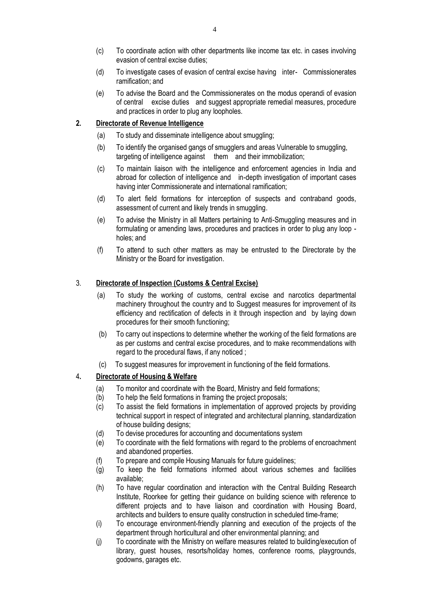- (c) To coordinate action with other departments like income tax etc. in cases involving evasion of central excise duties;
- (d) To investigate cases of evasion of central excise having inter- Commissionerates ramification; and
- (e) To advise the Board and the Commissionerates on the modus operandi of evasion of central excise duties and suggest appropriate remedial measures, procedure and practices in order to plug any loopholes.

#### **2. Directorate of Revenue Intelligence**

- (a) To study and disseminate intelligence about smuggling;
- (b) To identify the organised gangs of smugglers and areas Vulnerable to smuggling, targeting of intelligence against them and their immobilization;
- (c) To maintain liaison with the intelligence and enforcement agencies in India and abroad for collection of intelligence and in-depth investigation of important cases having inter Commissionerate and international ramification;
- (d) To alert field formations for interception of suspects and contraband goods, assessment of current and likely trends in smuggling.
- (e) To advise the Ministry in all Matters pertaining to Anti-Smuggling measures and in formulating or amending laws, procedures and practices in order to plug any loop holes; and
- (f) To attend to such other matters as may be entrusted to the Directorate by the Ministry or the Board for investigation.

#### 3. **Directorate of Inspection (Customs & Central Excise)**

- (a) To study the working of customs, central excise and narcotics departmental machinery throughout the country and to Suggest measures for improvement of its efficiency and rectification of defects in it through inspection and by laying down procedures for their smooth functioning;
- (b) To carry out inspections to determine whether the working of the field formations are as per customs and central excise procedures, and to make recommendations with regard to the procedural flaws, if any noticed ;
- (c) To suggest measures for improvement in functioning of the field formations.

#### 4**. Directorate of Housing & Welfare**

- (a) To monitor and coordinate with the Board, Ministry and field formations;
- (b) To help the field formations in framing the project proposals;
- (c) To assist the field formations in implementation of approved projects by providing technical support in respect of integrated and architectural planning, standardization of house building designs;
- (d) To devise procedures for accounting and documentations system
- (e) To coordinate with the field formations with regard to the problems of encroachment and abandoned properties.
- (f) To prepare and compile Housing Manuals for future guidelines;
- (g) To keep the field formations informed about various schemes and facilities available;
- (h) To have regular coordination and interaction with the Central Building Research Institute, Roorkee for getting their guidance on building science with reference to different projects and to have liaison and coordination with Housing Board, architects and builders to ensure quality construction in scheduled time-frame;
- (i) To encourage environment-friendly planning and execution of the projects of the department through horticultural and other environmental planning; and
- (j) To coordinate with the Ministry on welfare measures related to building/execution of library, guest houses, resorts/holiday homes, conference rooms, playgrounds, godowns, garages etc.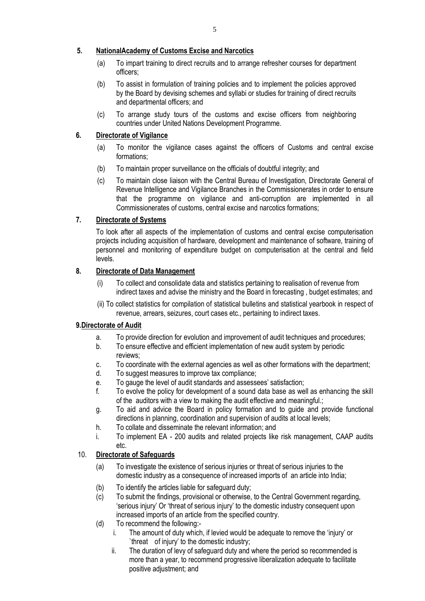### **5. NationalAcademy of Customs Excise and Narcotics**

- (a) To impart training to direct recruits and to arrange refresher courses for department officers;
- (b) To assist in formulation of training policies and to implement the policies approved by the Board by devising schemes and syllabi or studies for training of direct recruits and departmental officers; and
- (c) To arrange study tours of the customs and excise officers from neighboring countries under United Nations Development Programme.

## **6. Directorate of Vigilance**

- (a) To monitor the vigilance cases against the officers of Customs and central excise formations;
- (b) To maintain proper surveillance on the officials of doubtful integrity; and
- (c) To maintain close liaison with the Central Bureau of Investigation, Directorate General of Revenue Intelligence and Vigilance Branches in the Commissionerates in order to ensure that the programme on vigilance and anti-corruption are implemented in all Commissionerates of customs, central excise and narcotics formations;

## **7. Directorate of Systems**

To look after all aspects of the implementation of customs and central excise computerisation projects including acquisition of hardware, development and maintenance of software, training of personnel and monitoring of expenditure budget on computerisation at the central and field levels.

## **8. Directorate of Data Management**

- (i) To collect and consolidate data and statistics pertaining to realisation of revenue from indirect taxes and advise the ministry and the Board in forecasting , budget estimates; and
- (ii) To collect statistics for compilation of statistical bulletins and statistical yearbook in respect of revenue, arrears, seizures, court cases etc., pertaining to indirect taxes.

### **9.Directorate of Audit**

- a. To provide direction for evolution and improvement of audit techniques and procedures;
- b. To ensure effective and efficient implementation of new audit system by periodic reviews;
- c. To coordinate with the external agencies as well as other formations with the department;
- d. To suggest measures to improve tax compliance;
- e. To gauge the level of audit standards and assessees' satisfaction;
- f. To evolve the policy for development of a sound data base as well as enhancing the skill of the auditors with a view to making the audit effective and meaningful.;
- g. To aid and advice the Board in policy formation and to guide and provide functional directions in planning, coordination and supervision of audits at local levels;
- h. To collate and disseminate the relevant information; and
- i. To implement EA 200 audits and related projects like risk management, CAAP audits etc.

## 10. **Directorate of Safeguards**

- (a) To investigate the existence of serious injuries or threat of serious injuries to the domestic industry as a consequence of increased imports of an article into India;
- (b) To identify the articles liable for safeguard duty;
- (c) To submit the findings, provisional or otherwise, to the Central Government regarding, 'serious injury' Or 'threat of serious injury' to the domestic industry consequent upon increased imports of an article from the specified country.
- (d) To recommend the following:
	- i. The amount of duty which, if levied would be adequate to remove the 'injury' or `threat of injury' to the domestic industry;
	- ii. The duration of levy of safeguard duty and where the period so recommended is more than a year, to recommend progressive liberalization adequate to facilitate positive adjustment; and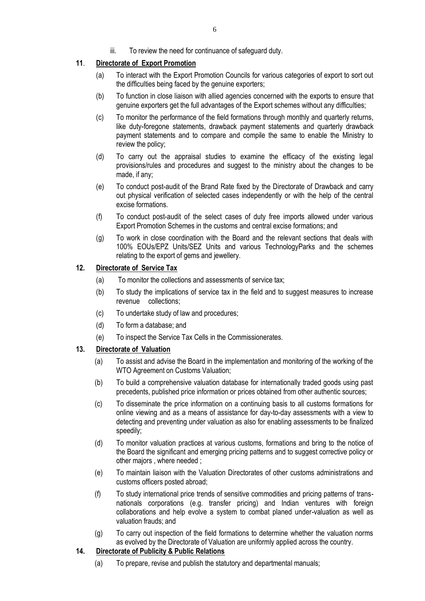## **11**. **Directorate of Export Promotion**

- (a) To interact with the Export Promotion Councils for various categories of export to sort out the difficulties being faced by the genuine exporters;
- (b) To function in close liaison with allied agencies concerned with the exports to ensure that genuine exporters get the full advantages of the Export schemes without any difficulties;
- (c) To monitor the performance of the field formations through monthly and quarterly returns, like duty-foregone statements, drawback payment statements and quarterly drawback payment statements and to compare and compile the same to enable the Ministry to review the policy;
- (d) To carry out the appraisal studies to examine the efficacy of the existing legal provisions/rules and procedures and suggest to the ministry about the changes to be made, if any;
- (e) To conduct post-audit of the Brand Rate fixed by the Directorate of Drawback and carry out physical verification of selected cases independently or with the help of the central excise formations.
- (f) To conduct post-audit of the select cases of duty free imports allowed under various Export Promotion Schemes in the customs and central excise formations; and
- (g) To work in close coordination with the Board and the relevant sections that deals with 100% EOUs/EPZ Units/SEZ Units and various TechnologyParks and the schemes relating to the export of gems and jewellery.

## **12. Directorate of Service Tax**

- (a) To monitor the collections and assessments of service tax;
- (b) To study the implications of service tax in the field and to suggest measures to increase revenue collections;
- (c) To undertake study of law and procedures;
- (d) To form a database; and
- (e) To inspect the Service Tax Cells in the Commissionerates.

### **13. Directorate of Valuation**

- (a) To assist and advise the Board in the implementation and monitoring of the working of the WTO Agreement on Customs Valuation:
- (b) To build a comprehensive valuation database for internationally traded goods using past precedents, published price information or prices obtained from other authentic sources;
- (c) To disseminate the price information on a continuing basis to all customs formations for online viewing and as a means of assistance for day-to-day assessments with a view to detecting and preventing under valuation as also for enabling assessments to be finalized speedily;
- (d) To monitor valuation practices at various customs, formations and bring to the notice of the Board the significant and emerging pricing patterns and to suggest corrective policy or other majors , where needed ;
- (e) To maintain liaison with the Valuation Directorates of other customs administrations and customs officers posted abroad;
- (f) To study international price trends of sensitive commodities and pricing patterns of transnationals corporations (e.g. transfer pricing) and Indian ventures with foreign collaborations and help evolve a system to combat planed under-valuation as well as valuation frauds; and
- (g) To carry out inspection of the field formations to determine whether the valuation norms as evolved by the Directorate of Valuation are uniformly applied across the country.

### **14. Directorate of Publicity & Public Relations**

(a) To prepare, revise and publish the statutory and departmental manuals;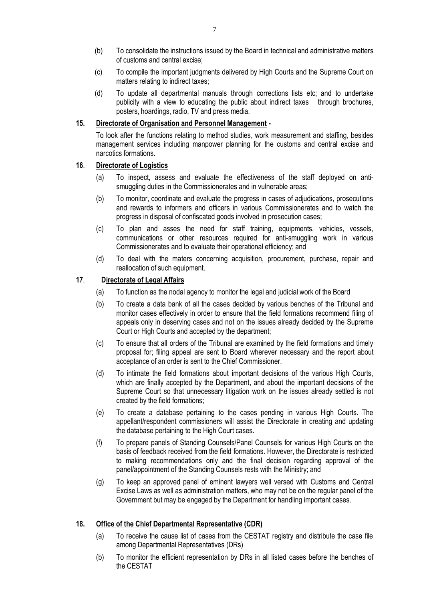- (b) To consolidate the instructions issued by the Board in technical and administrative matters of customs and central excise;
- (c) To compile the important judgments delivered by High Courts and the Supreme Court on matters relating to indirect taxes;
- (d) To update all departmental manuals through corrections lists etc; and to undertake publicity with a view to educating the public about indirect taxes through brochures, posters, hoardings, radio, TV and press media.

#### **15. Directorate of Organisation and Personnel Management -**

To look after the functions relating to method studies, work measurement and staffing, besides management services including manpower planning for the customs and central excise and narcotics formations.

### **16**. **Directorate of Logistics**

- (a) To inspect, assess and evaluate the effectiveness of the staff deployed on antismuggling duties in the Commissionerates and in vulnerable areas;
- (b) To monitor, coordinate and evaluate the progress in cases of adjudications, prosecutions and rewards to informers and officers in various Commissionerates and to watch the progress in disposal of confiscated goods involved in prosecution cases;
- (c) To plan and asses the need for staff training, equipments, vehicles, vessels, communications or other resources required for anti-smuggling work in various Commissionerates and to evaluate their operational efficiency; and
- (d) To deal with the maters concerning acquisition, procurement, purchase, repair and reallocation of such equipment.

### **17**. **Directorate of Legal Affairs**

- (a) To function as the nodal agency to monitor the legal and judicial work of the Board
- (b) To create a data bank of all the cases decided by various benches of the Tribunal and monitor cases effectively in order to ensure that the field formations recommend filing of appeals only in deserving cases and not on the issues already decided by the Supreme Court or High Courts and accepted by the department;
- (c) To ensure that all orders of the Tribunal are examined by the field formations and timely proposal for; filing appeal are sent to Board wherever necessary and the report about acceptance of an order is sent to the Chief Commissioner.
- (d) To intimate the field formations about important decisions of the various High Courts, which are finally accepted by the Department, and about the important decisions of the Supreme Court so that unnecessary litigation work on the issues already settled is not created by the field formations;
- (e) To create a database pertaining to the cases pending in various High Courts. The appellant/respondent commissioners will assist the Directorate in creating and updating the database pertaining to the High Court cases.
- (f) To prepare panels of Standing Counsels/Panel Counsels for various High Courts on the basis of feedback received from the field formations. However, the Directorate is restricted to making recommendations only and the final decision regarding approval of the panel/appointment of the Standing Counsels rests with the Ministry; and
- (g) To keep an approved panel of eminent lawyers well versed with Customs and Central Excise Laws as well as administration matters, who may not be on the regular panel of the Government but may be engaged by the Department for handling important cases.

#### **18. Office of the Chief Departmental Representative (CDR)**

- (a) To receive the cause list of cases from the CESTAT registry and distribute the case file among Departmental Representatives (DRs)
- (b) To monitor the efficient representation by DRs in all listed cases before the benches of the CESTAT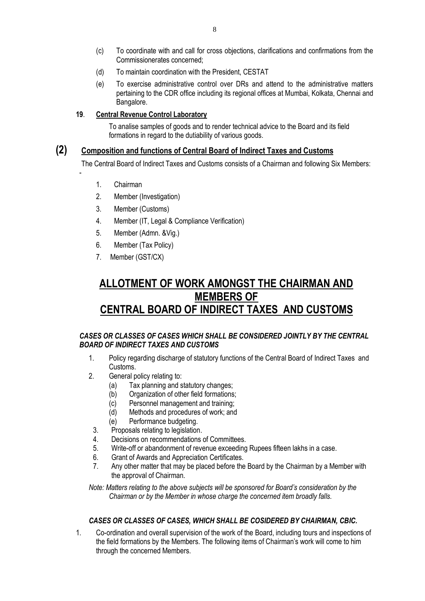- (c) To coordinate with and call for cross objections, clarifications and confirmations from the Commissionerates concerned;
- (d) To maintain coordination with the President, CESTAT
- (e) To exercise administrative control over DRs and attend to the administrative matters pertaining to the CDR office including its regional offices at Mumbai, Kolkata, Chennai and Bangalore.

### **19**. **Central Revenue Control Laboratory**

To analise samples of goods and to render technical advice to the Board and its field formations in regard to the dutiability of various goods.

## **(2) Composition and functions of Central Board of Indirect Taxes and Customs**

The Central Board of Indirect Taxes and Customs consists of a Chairman and following Six Members:

1. Chairman

-

- 2. Member (Investigation)
- 3. Member (Customs)
- 4. Member (IT, Legal & Compliance Verification)
- 5. Member (Admn. &Vig.)
- 6. Member (Tax Policy)
- 7. Member (GST/CX)

# **ALLOTMENT OF WORK AMONGST THE CHAIRMAN AND MEMBERS OF CENTRAL BOARD OF INDIRECT TAXES AND CUSTOMS**

### *CASES OR CLASSES OF CASES WHICH SHALL BE CONSIDERED JOINTLY BY THE CENTRAL BOARD OF INDIRECT TAXES AND CUSTOMS*

- 1. Policy regarding discharge of statutory functions of the Central Board of Indirect Taxes and Customs.
- 2. General policy relating to:
	- (a) Tax planning and statutory changes;
	- (b) Organization of other field formations;
	- (c) Personnel management and training;<br>(d) Methods and procedures of work: and
	- Methods and procedures of work; and
	- (e) Performance budgeting.
	- 3. Proposals relating to legislation.
- 4. Decisions on recommendations of Committees.
- 5. Write-off or abandonment of revenue exceeding Rupees fifteen lakhs in a case.
- 6. Grant of Awards and Appreciation Certificates.
- 7. Any other matter that may be placed before the Board by the Chairman by a Member with the approval of Chairman.

*Note: Matters relating to the above subjects will be sponsored for Board's consideration by the Chairman or by the Member in whose charge the concerned item broadly falls.* 

### *CASES OR CLASSES OF CASES, WHICH SHALL BE COSIDERED BY CHAIRMAN, CBIC.*

1. Co-ordination and overall supervision of the work of the Board, including tours and inspections of the field formations by the Members. The following items of Chairman's work will come to him through the concerned Members.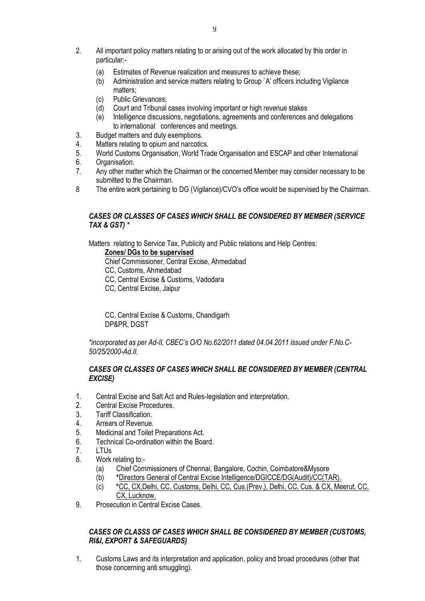- 2. All important policy matters relating to or arising out of the work allocated by this order in particular:-
	- (a) Estimates of Revenue realization and measures to achieve these;
	- (b) Administration and service matters relating to Group `A' officers including Vigilance matters;
	- (c) Public Grievances;
	- (d) Court and Tribunal cases involving important or high revenue stakes
	- (e) Intelligence discussions, negotiations, agreements and conferences and delegations to international conferences and meetings.
- 3. Budget matters and duty exemptions.
- 4. Matters relating to opium and narcotics.
- 5. World Customs Organisation, World Trade Organisation and ESCAP and other International
- 6. Organisation.
- 7. Any other matter which the Chairman or the concerned Member may consider necessary to be submitted to the Chairman.
- 8 The entire work pertaining to DG (Vigilance)/CVO's office would be supervised by the Chairman.

### *CASES OR CLASSES OF CASES WHICH SHALL BE CONSIDERED BY MEMBER (SERVICE TAX & GST) \**

Matters relating to Service Tax, Publicity and Public relations and Help Centres:

## **Zones/ DGs to be supervised**

- Chief Commissioner, Central Excise, Ahmedabad
- CC, Customs, Ahmedabad
- CC, Central Excise & Customs, Vadodara
- CC, Central Excise, Jaipur

CC, Central Excise & Customs, Chandigarh DP&PR, DGST

*\*incorporated as per Ad-II, CBEC's O/O No.62/2011 dated 04.04.2011 issued under F.No.C-50/25/2000-Ad.II.*

#### *CASES OR CLASSES OF CASES WHICH SHALL BE CONSIDERED BY MEMBER (CENTRAL EXCISE)*

- 1. Central Excise and Salt Act and Rules-legislation and interpretation.
- 2. Central Excise Procedures.
- 3. Tariff Classification.
- 4. Arrears of Revenue.
- 5. Medicinal and Toilet Preparations Act.
- 6. Technical Co-ordination within the Board.
- 7 | TUs
- 8. Work relating to:-
	- (a) Chief Commissioners of Chennai, Bangalore, Cochin, Coimbatore&Mysore
	- (b) **\***Directors General of Central Excise Intelligence/DGICCE/DG(Audit)/CC(TAR).
	- (c) **\***CC, CX,Delhi, CC, Customs, Delhi, CC, Cus.(Prev.), Delhi, CC, Cus. & CX, Meerut, CC, CX, Lucknow.
- 9. Prosecution in Central Excise Cases.

### *CASES OR CLASSS OF CASES WHICH SHALL BE CONSIDERED BY MEMBER (CUSTOMS, RI&I, EXPORT & SAFEGUARDS)*

1. Customs Laws and its interpretation and application, policy and broad procedures (other that those concerning anti smuggling).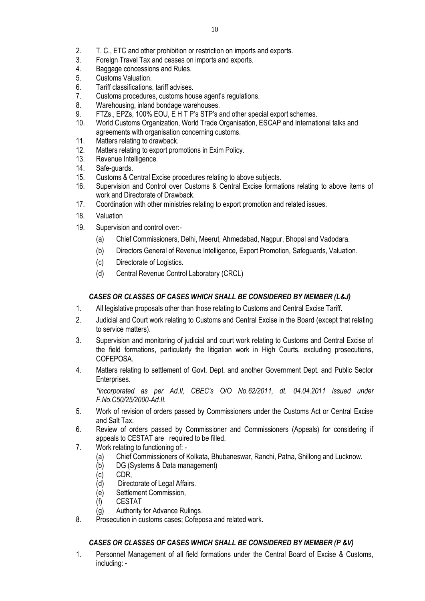- 2. T. C., ETC and other prohibition or restriction on imports and exports.<br>3. Foreign Travel Tax and cesses on imports and exports.
- Foreign Travel Tax and cesses on imports and exports.
- 4. Baggage concessions and Rules.
- 5. Customs Valuation.
- 6. Tariff classifications, tariff advises.
- 7. Customs procedures, customs house agent's regulations.
- 8. Warehousing, inland bondage warehouses.
- 9. FTZs., EPZs, 100% EOU, E H T P's STP's and other special export schemes.
- 10. World Customs Organization, World Trade Organisation, ESCAP and International talks and agreements with organisation concerning customs.
- 11. Matters relating to drawback.
- 12. Matters relating to export promotions in Exim Policy.
- 13. Revenue Intelligence.
- 14. Safe-guards.
- 15. Customs & Central Excise procedures relating to above subjects.
- 16. Supervision and Control over Customs & Central Excise formations relating to above items of work and Directorate of Drawback.
- 17. Coordination with other ministries relating to export promotion and related issues.
- 18. Valuation
- 19. Supervision and control over:-
	- (a) Chief Commissioners, Delhi, Meerut, Ahmedabad, Nagpur, Bhopal and Vadodara.
	- (b) Directors General of Revenue Intelligence, Export Promotion, Safeguards, Valuation.
	- (c) Directorate of Logistics.
	- (d) Central Revenue Control Laboratory (CRCL)

## *CASES OR CLASSES OF CASES WHICH SHALL BE CONSIDERED BY MEMBER (L&J)*

- 1. All legislative proposals other than those relating to Customs and Central Excise Tariff.
- 2. Judicial and Court work relating to Customs and Central Excise in the Board (except that relating to service matters).
- 3. Supervision and monitoring of judicial and court work relating to Customs and Central Excise of the field formations, particularly the litigation work in High Courts, excluding prosecutions, COFEPOSA.
- 4. Matters relating to settlement of Govt. Dept. and another Government Dept. and Public Sector Enterprises.

*\*incorporated as per Ad.II, CBEC's O/O No.62/2011, dt. 04.04.2011 issued under F.No.C50/25/2000-Ad.II.*

- 5. Work of revision of orders passed by Commissioners under the Customs Act or Central Excise and Salt Tax.
- 6. Review of orders passed by Commissioner and Commissioners (Appeals) for considering if appeals to CESTAT are required to be filled.
- 7. Work relating to functioning of:
	- (a) Chief Commissioners of Kolkata, Bhubaneswar, Ranchi, Patna, Shillong and Lucknow.
	- (b) DG (Systems & Data management)
	- (c) CDR,
	- (d) Directorate of Legal Affairs.
	- (e) Settlement Commission,
	- (f) CESTAT
	- (g) Authority for Advance Rulings.
- 8. Prosecution in customs cases; Cofeposa and related work.

## *CASES OR CLASSES OF CASES WHICH SHALL BE CONSIDERED BY MEMBER (P &V)*

1. Personnel Management of all field formations under the Central Board of Excise & Customs, including: -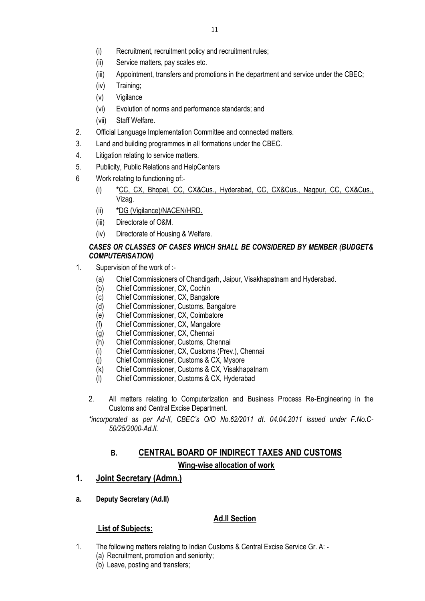- (ii) Service matters, pay scales etc.
- (iii) Appointment, transfers and promotions in the department and service under the CBEC;
- (iv) Training;
- (v) Vigilance
- (vi) Evolution of norms and performance standards; and
- (vii) Staff Welfare.
- 2. Official Language Implementation Committee and connected matters.
- 3. Land and building programmes in all formations under the CBEC.
- 4. Litigation relating to service matters.
- 5. Publicity, Public Relations and HelpCenters
- 6 Work relating to functioning of:-
	- (i) **\***CC, CX, Bhopal, CC, CX&Cus., Hyderabad, CC, CX&Cus., Nagpur, CC, CX&Cus., Vizag.
	- (ii) **\***DG (Vigilance)/NACEN/HRD.
	- (iii) Directorate of O&M.
	- (iv) Directorate of Housing & Welfare.

## *CASES OR CLASSES OF CASES WHICH SHALL BE CONSIDERED BY MEMBER (BUDGET& COMPUTERISATION)*

- 1. Supervision of the work of :-
	- (a) Chief Commissioners of Chandigarh, Jaipur, Visakhapatnam and Hyderabad.
	- (b) Chief Commissioner, CX, Cochin
	- (c) Chief Commissioner, CX, Bangalore
	- (d) Chief Commissioner, Customs, Bangalore
	- (e) Chief Commissioner, CX, Coimbatore
	- (f) Chief Commissioner, CX, Mangalore
	- (g) Chief Commissioner, CX, Chennai
	- (h) Chief Commissioner, Customs, Chennai
	- (i) Chief Commissioner, CX, Customs (Prev.), Chennai
	- (j) Chief Commissioner, Customs & CX, Mysore
	- (k) Chief Commissioner, Customs & CX, Visakhapatnam
	- (l) Chief Commissioner, Customs & CX, Hyderabad
	- 2. All matters relating to Computerization and Business Process Re-Engineering in the Customs and Central Excise Department.

*\*incorporated as per Ad-II, CBEC's O/O No.62/2011 dt. 04.04.2011 issued under F.No.C-50/25/2000-Ad.II.*

## **B. CENTRAL BOARD OF INDIRECT TAXES AND CUSTOMS Wing-wise allocation of work**

## **1. Joint Secretary (Admn.)**

**a. Deputy Secretary (Ad.II)**

## **Ad.II Section**

- 1. The following matters relating to Indian Customs & Central Excise Service Gr. A:
	- (a) Recruitment, promotion and seniority;
	- (b) Leave, posting and transfers;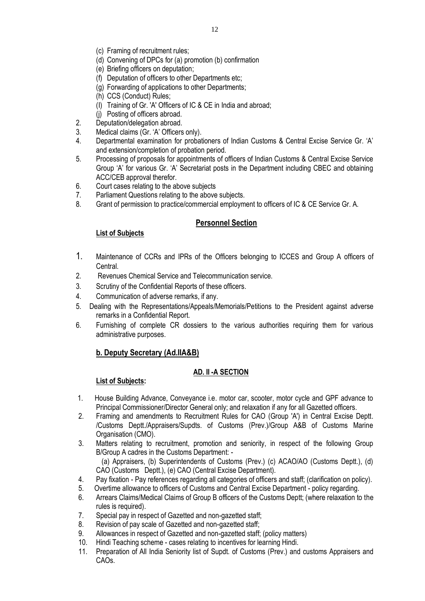- (c) Framing of recruitment rules;
- (d) Convening of DPCs for (a) promotion (b) confirmation
- (e) Briefing officers on deputation;
- (f) Deputation of officers to other Departments etc;
- (g) Forwarding of applications to other Departments;
- (h) CCS (Conduct) Rules;
- (I) Training of Gr. 'A' Officers of IC & CE in India and abroad;
- (j) Posting of officers abroad.
- 2. Deputation/delegation abroad.
- 3. Medical claims (Gr. 'A' Officers only).
- 4. Departmental examination for probationers of Indian Customs & Central Excise Service Gr. 'A' and extension/completion of probation period.
- 5. Processing of proposals for appointments of officers of Indian Customs & Central Excise Service Group 'A' for various Gr. 'A' Secretariat posts in the Department including CBEC and obtaining ACC/CEB approval therefor.
- 6. Court cases relating to the above subjects
- 7. Parliament Questions relating to the above subjects.
- 8. Grant of permission to practice/commercial employment to officers of IC & CE Service Gr. A.

## **Personnel Section**

## **List of Subjects**

- 1. Maintenance of CCRs and IPRs of the Officers belonging to ICCES and Group A officers of Central.
- 2. Revenues Chemical Service and Telecommunication service.
- 3. Scrutiny of the Confidential Reports of these officers.
- 4. Communication of adverse remarks, if any.
- 5. Dealing with the Representations/Appeals/Memorials/Petitions to the President against adverse remarks in a Confidential Report.
- 6. Furnishing of complete CR dossiers to the various authorities requiring them for various administrative purposes.

## **b. Deputy Secretary (Ad.IIA&B)**

## **AD. II -A SECTION**

- 1. House Building Advance, Conveyance i.e. motor car, scooter, motor cycle and GPF advance to Principal Commissioner/Director General only; and relaxation if any for all Gazetted officers.
- 2. Framing and amendments to Recruitment Rules for CAO (Group 'A') in Central Excise Deptt. /Customs Deptt./Appraisers/Supdts. of Customs (Prev.)/Group A&B of Customs Marine Organisation (CMO).
- 3. Matters relating to recruitment, promotion and seniority, in respect of the following Group B/Group A cadres in the Customs Department: -
	- (a) Appraisers, (b) Superintendents of Customs (Prev.) (c) ACAO/AO (Customs Deptt.), (d) CAO (Customs Deptt.), (e) CAO (Central Excise Department).
- 4. Pay fixation Pay references regarding all categories of officers and staff; (clarification on policy).
- 5. Overtime allowance to officers of Customs and Central Excise Department policy regarding.<br>6 Arrears Claims/Medical Claims of Group B officers of the Customs Deptt: (where relaxation to
- Arrears Claims/Medical Claims of Group B officers of the Customs Deptt; (where relaxation to the rules is required).
- 7. Special pay in respect of Gazetted and non-gazetted staff;
- 8. Revision of pay scale of Gazetted and non-gazetted staff;
- 9. Allowances in respect of Gazetted and non-gazetted staff; (policy matters)
- 10. Hindi Teaching scheme cases relating to incentives for learning Hindi.
- 11. Preparation of All India Seniority list of Supdt. of Customs (Prev.) and customs Appraisers and CAOs.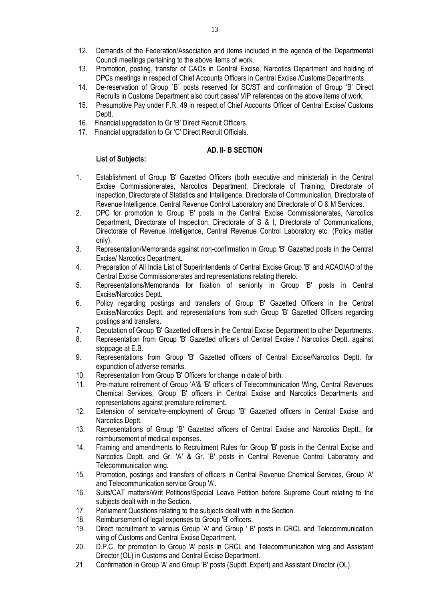- 12. Demands of the Federation/Association and items included in the agenda of the Departmental Council meetings pertaining to the above items of work.
- 13. Promotion, posting, transfer of CAOs in Central Excise, Narcotics Department and holding of DPCs meetings in respect of Chief Accounts Officers in Central Excise /Customs Departments.
- 14. De-reservation of Group `B` posts reserved for SC/ST and confirmation of Group 'B' Direct Recruits in Customs Department also court cases/ VIP references on the above items of work.
- 15. Presumptive Pay under F.R. 49 in respect of Chief Accounts Officer of Central Excise/ Customs Deptt.
- 16. Financial upgradation to Gr 'B' Direct Recruit Officers.
- 17. Financial upgradation to Gr 'C' Direct Recruit Officials.

#### **AD. II- B SECTION**

- 1. Establishment of Group 'B' Gazetted Officers (both executive and ministerial) in the Central Excise Commissionerates, Narcotics Department, Directorate of Training, Directorate of Inspection, Directorate of Statistics and Intelligence, Directorate of Communication, Directorate of Revenue Intelligence, Central Revenue Control Laboratory and Directorate of O & M Services.
- 2. DPC for promotion to Group 'B' posts in the Central Excise Commissionerates, Narcotics Department, Directorate of Inspection, Directorate of S & I, Directorate of Communications, Directorate of Revenue Intelligence, Central Revenue Control Laboratory etc. (Policy matter only).
- 3. Representation/Memoranda against non-confirmation in Group 'B' Gazetted posts in the Central Excise/ Narcotics Department.
- 4. Preparation of All India List of Superintendents of Central Excise Group 'B' and ACAO/AO of the Central Excise Commissionerates and representations relating thereto.
- 5. Representations/Memoranda for fixation of seniority in Group 'B' posts in Central Excise/Narcotics Deptt.
- 6. Policy regarding postings and transfers of Group 'B' Gazetted Officers in the Central Excise/Narcotics Deptt. and representations from such Group 'B' Gazetted Officers regarding postings and transfers.
- 7. Deputation of Group 'B' Gazetted officers in the Central Excise Department to other Departments.
- 8. Representation from Group 'B' Gazetted officers of Central Excise / Narcotics Deptt. against stoppage at E.B.
- 9. Representations from Group 'B' Gazetted officers of Central Excise/Narcotics Deptt. for expunction of adverse remarks.
- 10. Representation from Group 'B' Officers for change in date of birth.
- 11. Pre-mature retirement of Group 'A'& 'B' officers of Telecommunication Wing, Central Revenues Chemical Services, Group 'B' officers in Central Excise and Narcotics Departments and representations against premature retirement.
- 12. Extension of service/re-employment of Group 'B' Gazetted officers in Central Excise and Narcotics Deptt.
- 13. Representations of Group 'B' Gazetted officers of Central Excise and Narcotics Deptt., for reimbursement of medical expenses.
- 14. Framing and amendments to Recruitment Rules for Group 'B' posts in the Central Excise and Narcotics Deptt. and Gr. 'A' & Gr. 'B' posts in Central Revenue Control Laboratory and Telecommunication wing.
- 15. Promotion, postings and transfers of officers in Central Revenue Chemical Services, Group 'A' and Telecommunication service Group 'A'.
- 16. Suits/CAT matters/Writ Petitions/Special Leave Petition before Supreme Court relating to the subjects dealt with in the Section.
- 17. Parliament Questions relating to the subjects dealt with in the Section.
- 18. Reimbursement of legal expenses to Group 'B' officers.
- 19. Direct recruitment to various Group 'A' and Group ' B' posts in CRCL and Telecommunication wing of Customs and Central Excise Department.
- 20. D.P.C. for promotion to Group 'A' posts in CRCL and Telecommunication wing and Assistant Director (OL) in Customs and Central Excise Department.
- 21. Confirmation in Group 'A' and Group 'B' posts (Supdt. Expert) and Assistant Director (OL).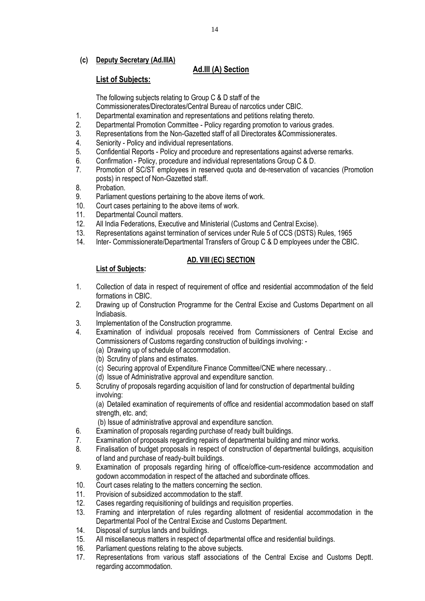### **(c) Deputy Secretary (Ad.IIIA)**

## **Ad.III (A) Section**

## **List of Subjects:**

The following subjects relating to Group C & D staff of the

- Commissionerates/Directorates/Central Bureau of narcotics under CBIC.
- 1. Departmental examination and representations and petitions relating thereto.
- 2. Departmental Promotion Committee Policy regarding promotion to various grades.
- 3. Representations from the Non-Gazetted staff of all Directorates &Commissionerates.
- 4. Seniority Policy and individual representations.
- 5. Confidential Reports Policy and procedure and representations against adverse remarks.
- 6. Confirmation Policy, procedure and individual representations Group C & D.<br>7. Promotion of SC/ST employees in reserved quota and de-reservation of value
- Promotion of SC/ST employees in reserved quota and de-reservation of vacancies (Promotion posts) in respect of Non-Gazetted staff.
- 8. Probation.
- 9. Parliament questions pertaining to the above items of work.
- 10. Court cases pertaining to the above items of work.
- 11. Departmental Council matters.<br>12. All India Federations. Executive

**List of Subjects:** 

- All India Federations, Executive and Ministerial (Customs and Central Excise).
- 13. Representations against termination of services under Rule 5 of CCS (DSTS) Rules, 1965
- 14. Inter- Commissionerate/Departmental Transfers of Group C & D employees under the CBIC.

## **AD. VIII (EC) SECTION**

- 1. Collection of data in respect of requirement of office and residential accommodation of the field formations in CBIC.
- 2. Drawing up of Construction Programme for the Central Excise and Customs Department on all Indiabasis.
- 3. Implementation of the Construction programme.<br>4 Examination of individual proposals received
- Examination of individual proposals received from Commissioners of Central Excise and Commissioners of Customs regarding construction of buildings involving: -
	- (a) Drawing up of schedule of accommodation.
	- (b) Scrutiny of plans and estimates.
	- (c) Securing approval of Expenditure Finance Committee/CNE where necessary. .
	- (d) Issue of Administrative approval and expenditure sanction.
- 5. Scrutiny of proposals regarding acquisition of land for construction of departmental building involving:

(a) Detailed examination of requirements of office and residential accommodation based on staff strength, etc. and:

(b) Issue of administrative approval and expenditure sanction.

- 6. Examination of proposals regarding purchase of ready built buildings.
- 7. Examination of proposals regarding repairs of departmental building and minor works.
- 8. Finalisation of budget proposals in respect of construction of departmental buildings, acquisition of land and purchase of ready-built buildings.
- 9. Examination of proposals regarding hiring of office/office-cum-residence accommodation and godown accommodation in respect of the attached and subordinate offices.
- 10. Court cases relating to the matters concerning the section.
- 11. Provision of subsidized accommodation to the staff.
- 12. Cases regarding requisitioning of buildings and requisition properties.
- 13. Framing and interpretation of rules regarding allotment of residential accommodation in the Departmental Pool of the Central Excise and Customs Department.
- 14. Disposal of surplus lands and buildings.
- 15. All miscellaneous matters in respect of departmental office and residential buildings.
- 16. Parliament questions relating to the above subjects.
- 17. Representations from various staff associations of the Central Excise and Customs Deptt. regarding accommodation.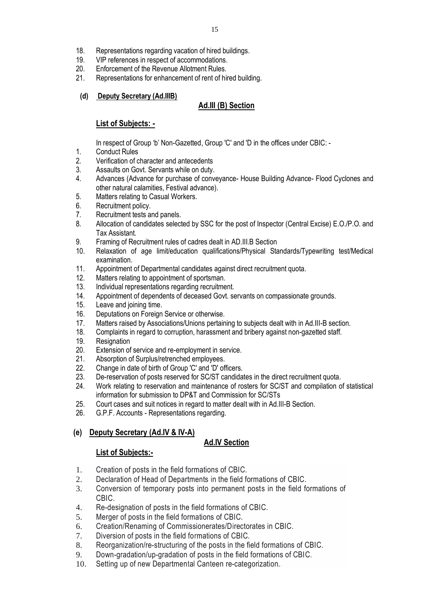- 18. Representations regarding vacation of hired buildings.<br>19. VIP references in respect of accommodations
- VIP references in respect of accommodations.
- 20. Enforcement of the Revenue Allotment Rules.
- 21. Representations for enhancement of rent of hired building.

## **(d) Deputy Secretary (Ad.IIIB)**

## **Ad.III (B) Section**

## **List of Subjects: -**

In respect of Group 'b' Non-Gazetted, Group 'C' and 'D in the offices under CBIC: -

- 1. Conduct Rules
- 2. Verification of character and antecedents
- 3. Assaults on Govt. Servants while on duty.
- 4. Advances (Advance for purchase of conveyance- House Building Advance- Flood Cyclones and other natural calamities, Festival advance).
- 5. Matters relating to Casual Workers.
- 6. Recruitment policy.
- 7. Recruitment tests and panels.
- 8. Allocation of candidates selected by SSC for the post of Inspector (Central Excise) E.O./P.O. and Tax Assistant.
- 9. Framing of Recruitment rules of cadres dealt in AD.III.B Section
- 10. Relaxation of age limit/education qualifications/Physical Standards/Typewriting test/Medical examination.
- 11. Appointment of Departmental candidates against direct recruitment quota.
- 12. Matters relating to appointment of sportsman.
- 13. Individual representations regarding recruitment.
- 14. Appointment of dependents of deceased Govt. servants on compassionate grounds.
- 15. Leave and joining time.
- 16. Deputations on Foreign Service or otherwise.
- 17. Matters raised by Associations/Unions pertaining to subjects dealt with in Ad.III-B section.<br>18. Complaints in regard to corruption, harassment and bribery against non-gazetted staff.
- Complaints in regard to corruption, harassment and bribery against non-gazetted staff.
- 19. Resignation
- 20. Extension of service and re-employment in service.
- 21. Absorption of Surplus/retrenched employees.
- 22. Change in date of birth of Group 'C' and 'D' officers.
- 23. De-reservation of posts reserved for SC/ST candidates in the direct recruitment quota.
- 24. Work relating to reservation and maintenance of rosters for SC/ST and compilation of statistical information for submission to DP&T and Commission for SC/STs
- 25. Court cases and suit notices in regard to matter dealt with in Ad.III-B Section.
- 26. G.P.F. Accounts Representations regarding.

### **(e) Deputy Secretary (Ad.IV & IV-A)**

## **Ad.IV Section**

- 1. Creation of posts in the field formations of CBIC.
- 2. Declaration of Head of Departments in the field formations of CBIC.
- 3. Conversion of temporary posts into permanent posts in the field formations of CBIC.
- 4. Re-designation of posts in the field formations of CBIC.
- 5. Merger of posts in the field formations of CBIC.
- 6. Creation/Renaming of Commissionerates/Directorates in CBIC.
- 7. Diversion of posts in the field formations of CBIC.
- 8. Reorganization/re-structuring of the posts in the field formations of CBIC.
- 9. Down-gradation/up-gradation of posts in the field formations of CBIC.
- 10. Setting up of new Departmental Canteen re-categorization.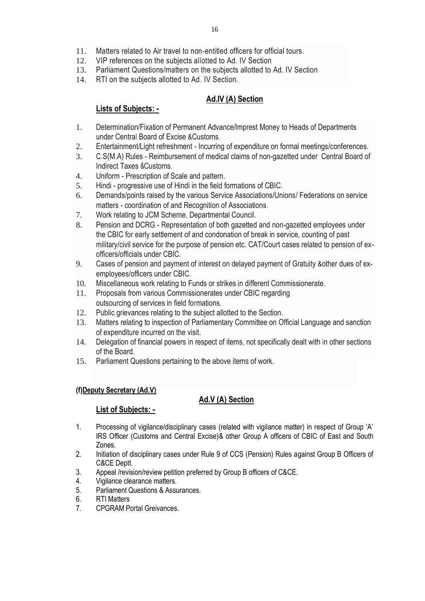- 11. Matters related to Air travel to non-entitled officers for official tours.
- 12. VIP references on the subjects allotted to Ad. IV Section
- 13. Parliament Questions/matters on the subjects allotted to Ad. IV Section
- 14. RTI on the subjects allotted to Ad. IV Section.

## **Ad.IV (A) Section**

## **Lists of Subjects: -**

- 1. Determination/Fixation of Permanent Advance/lmprest Money to Heads of Departments under Central Board of Excise &Customs.
- 2. Entertainment/Light refreshment Incurring of expenditure on formal meetings/conferences.
- 3. C.S(M.A) Rules Reimbursement of medical claims of non-gazetted under Central Board of Indirect Taxes &Customs.
- 4. Uniform Prescription of Scale and pattern.
- 5. Hindi progressive use of Hindi in the field formations of CBIC.
- 6. Demands/points raised by the various Service Associations/Unions/ Federations on service matters - coordination of and Recognition of Associations.
- 7. Work relating to JCM Scheme, Departmental Council.
- 8. Pension and DCRG Representation of both gazetted and non-gazetted employees under the CBIC for early settlement of and condonation of break in service, counting of past military/civil service for the purpose of pension etc. CAT/Court cases related to pension of exofficers/officials under CBIC.
- 9. Cases of pension and payment of interest on delayed payment of Gratuity &other dues of exemployees/officers under CBIC.
- 10. Miscellaneous work relating to Funds or strikes in different Commissionerate.
- 11. Proposals from various Commissionerates under CBIC regarding outsourcing of services in field formations.
- 12. Public grievances relating to the subject allotted to the Section.
- 13. Matters relating to inspection of Parliamentary Committee on Official Language and sanction of expenditure incurred on the visit.
- 14. Delegation of financial powers in respect of items, not specifically dealt with in other sections of the Board.
- 15. Parliament Questions pertaining to the above items of work.

## **(f)Deputy Secretary (Ad.V)**

## **Ad.V (A) Section**

- 1. Processing of vigilance/disciplinary cases (related with vigilance matter) in respect of Group 'A' IRS Officer (Customs and Central Excise)& other Group A officers of CBIC of East and South Zones.
- 2. Initiation of disciplinary cases under Rule 9 of CCS (Pension) Rules against Group B Officers of C&CE Deptt.
- 3. Appeal /revision/review petition preferred by Group B officers of C&CE.
- 4. Vigilance clearance matters.
- 5. Parliament Questions & Assurances.
- 6. RTI Matters
- 7. CPGRAM Portal Greivances.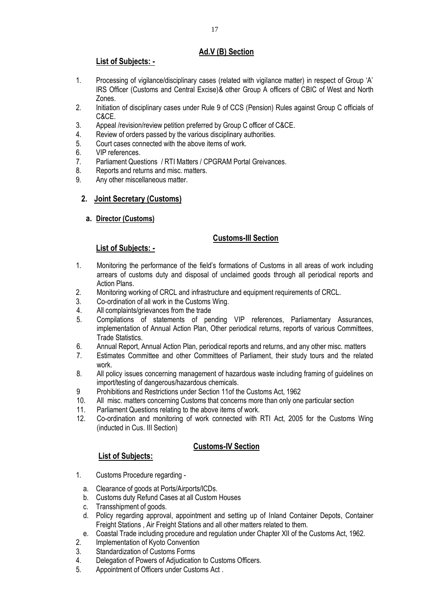## **Ad.V (B) Section**

## **List of Subjects: -**

- 1. Processing of vigilance/disciplinary cases (related with vigilance matter) in respect of Group 'A' IRS Officer (Customs and Central Excise)& other Group A officers of CBIC of West and North Zones.
- 2. Initiation of disciplinary cases under Rule 9 of CCS (Pension) Rules against Group C officials of C&CE.
- 3. Appeal /revision/review petition preferred by Group C officer of C&CE.
- 4. Review of orders passed by the various disciplinary authorities.
- 5. Court cases connected with the above items of work.
- 6. VIP references.
- 7. Parliament Questions / RTI Matters / CPGRAM Portal Greivances.
- 8. Reports and returns and misc. matters.
- 9. Any other miscellaneous matter.

## **2. Joint Secretary (Customs)**

**a. Director (Customs)**

## **Customs-III Section**

## **List of Subjects: -**

- 1. Monitoring the performance of the field's formations of Customs in all areas of work including arrears of customs duty and disposal of unclaimed goods through all periodical reports and Action Plans.
- 2. Monitoring working of CRCL and infrastructure and equipment requirements of CRCL.
- 3. Co-ordination of all work in the Customs Wing.
- 4. All complaints/grievances from the trade
- 5. Compilations of statements of pending VIP references, Parliamentary Assurances, implementation of Annual Action Plan, Other periodical returns, reports of various Committees, Trade Statistics.
- 6. Annual Report, Annual Action Plan, periodical reports and returns, and any other misc. matters
- 7. Estimates Committee and other Committees of Parliament, their study tours and the related work.
- 8. All policy issues concerning management of hazardous waste including framing of guidelines on import/testing of dangerous/hazardous chemicals.
- 9 Prohibitions and Restrictions under Section 11of the Customs Act, 1962
- 10. All misc. matters concerning Customs that concerns more than only one particular section
- 11. Parliament Questions relating to the above items of work.
- 12. Co-ordination and monitoring of work connected with RTI Act, 2005 for the Customs Wing (inducted in Cus. III Section)

## **Customs-IV Section**

- 1. Customs Procedure regarding
	- a. Clearance of goods at Ports/Airports/ICDs.
	- b. Customs duty Refund Cases at all Custom Houses
	- c. Transshipment of goods.
	- d. Policy regarding approval, appointment and setting up of Inland Container Depots, Container Freight Stations , Air Freight Stations and all other matters related to them.
	- e. Coastal Trade including procedure and regulation under Chapter XII of the Customs Act, 1962.
- 2. Implementation of Kyoto Convention
- 3. Standardization of Customs Forms
- 4. Delegation of Powers of Adjudication to Customs Officers.
- 5. Appointment of Officers under Customs Act .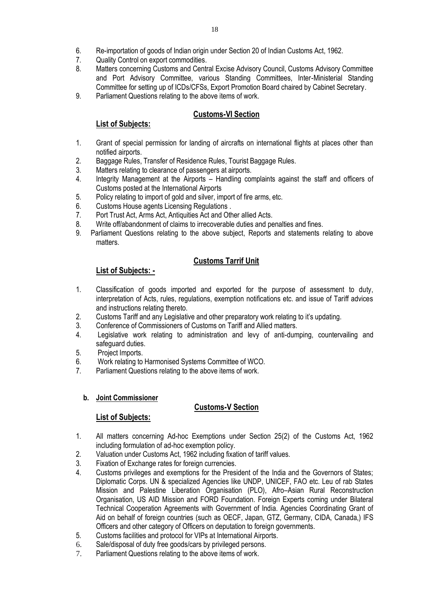- 6. Re-importation of goods of Indian origin under Section 20 of Indian Customs Act, 1962.
- Quality Control on export commodities.
- 8. Matters concerning Customs and Central Excise Advisory Council, Customs Advisory Committee and Port Advisory Committee, various Standing Committees, Inter-Ministerial Standing Committee for setting up of ICDs/CFSs, Export Promotion Board chaired by Cabinet Secretary.
- 9. Parliament Questions relating to the above items of work.

## **Customs-VI Section**

## **List of Subjects:**

- 1. Grant of special permission for landing of aircrafts on international flights at places other than notified airports.
- 2. Baggage Rules, Transfer of Residence Rules, Tourist Baggage Rules.
- 3. Matters relating to clearance of passengers at airports.
- 4. Integrity Management at the Airports Handling complaints against the staff and officers of Customs posted at the International Airports
- 5. Policy relating to import of gold and silver, import of fire arms, etc.
- 6. Customs House agents Licensing Regulations .
- 7. Port Trust Act, Arms Act, Antiquities Act and Other allied Acts.
- 8. Write off/abandonment of claims to irrecoverable duties and penalties and fines.
- 9. Parliament Questions relating to the above subject, Reports and statements relating to above matters.

## **Customs Tarrif Unit**

## **List of Subjects: -**

- 1. Classification of goods imported and exported for the purpose of assessment to duty, interpretation of Acts, rules, regulations, exemption notifications etc. and issue of Tariff advices and instructions relating thereto.
- 2. Customs Tariff and any Legislative and other preparatory work relating to it's updating.
- 3. Conference of Commissioners of Customs on Tariff and Allied matters.
- 4. Legislative work relating to administration and levy of anti-dumping, countervailing and safeguard duties.
- 5. Project Imports.
- 6. Work relating to Harmonised Systems Committee of WCO.
- 7. Parliament Questions relating to the above items of work.

### **b. Joint Commissioner**

### **Customs-V Section**

- 1. All matters concerning Ad-hoc Exemptions under Section 25(2) of the Customs Act, 1962 including formulation of ad-hoc exemption policy.
- 2. Valuation under Customs Act, 1962 including fixation of tariff values.
- 3. Fixation of Exchange rates for foreign currencies.
- 4. Customs privileges and exemptions for the President of the India and the Governors of States; Diplomatic Corps. UN & specialized Agencies like UNDP, UNICEF, FAO etc. Leu of rab States Mission and Palestine Liberation Organisation (PLO), Afro–Asian Rural Reconstruction Organisation, US AID Mission and FORD Foundation. Foreign Experts coming under Bilateral Technical Cooperation Agreements with Government of India. Agencies Coordinating Grant of Aid on behalf of foreign countries (such as OECF, Japan, GTZ, Germany, CIDA, Canada,) IFS Officers and other category of Officers on deputation to foreign governments.
- 5. Customs facilities and protocol for VIPs at International Airports.
- 6. Sale/disposal of duty free goods/cars by privileged persons.
- 7. Parliament Questions relating to the above items of work.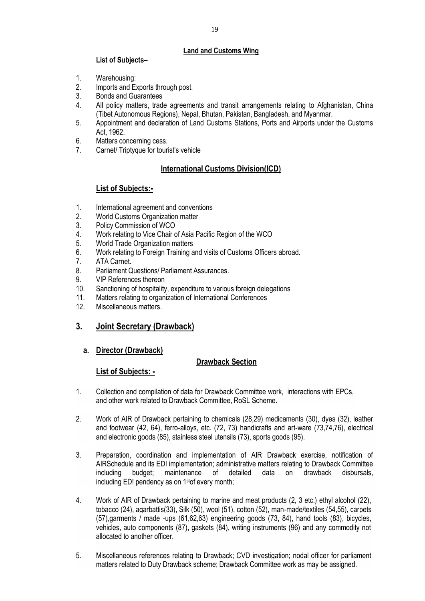### **Land and Customs Wing**

### **List of Subjects–**

- 1. Warehousing:
- 2. Imports and Exports through post.
- 3. Bonds and Guarantees
- 4. All policy matters, trade agreements and transit arrangements relating to Afghanistan, China (Tibet Autonomous Regions), Nepal, Bhutan, Pakistan, Bangladesh, and Myanmar.
- 5. Appointment and declaration of Land Customs Stations, Ports and Airports under the Customs Act, 1962.
- 6. Matters concerning cess.
- 7. Carnet/ Triptyque for tourist's vehicle

## **International Customs Division(ICD)**

### **List of Subjects:-**

- 1. International agreement and conventions
- 2. World Customs Organization matter
- 3. Policy Commission of WCO
- 4. Work relating to Vice Chair of Asia Pacific Region of the WCO
- 5. World Trade Organization matters
- 6. Work relating to Foreign Training and visits of Customs Officers abroad.
- 7. ATA Carnet.
- 8. Parliament Questions/ Parliament Assurances.
- 9. VIP References thereon
- 10. Sanctioning of hospitality, expenditure to various foreign delegations
- 11. Matters relating to organization of International Conferences
- 12. Miscellaneous matters.

### **3. Joint Secretary (Drawback)**

#### **a. Director (Drawback)**

### **Drawback Section**

- 1. Collection and compilation of data for Drawback Committee work, interactions with EPCs, and other work related to Drawback Committee, RoSL Scheme.
- 2. Work of AIR of Drawback pertaining to chemicals (28,29) medicaments (30), dyes (32), leather and footwear (42, 64), ferro-alloys, etc. (72, 73) handicrafts and art-ware (73,74,76), electrical and electronic goods (85), stainless steel utensils (73), sports goods (95).
- 3. Preparation, coordination and implementation of AIR Drawback exercise, notification of AIRSchedule and its EDI implementation; administrative matters relating to Drawback Committee including budget; maintenance of detailed data on drawback disbursals, including ED! pendency as on 1stof every month;
- 4. Work of AIR of Drawback pertaining to marine and meat products (2, 3 etc.) ethyl alcohol (22), tobacco (24), agarbattis(33), Silk (50), wool (51), cotton (52), man-made/textiles (54,55), carpets (57),garments / made -ups (61,62,63) engineering goods (73, 84), hand tools (83), bicycles, vehicles, auto components (87), gaskets (84), writing instruments (96) and any commodity not allocated to another officer.
- 5. Miscellaneous references relating to Drawback; CVD investigation; nodal officer for parliament matters related to Duty Drawback scheme; Drawback Committee work as may be assigned.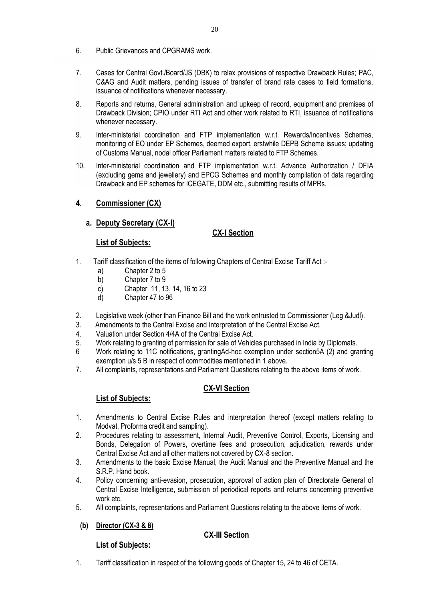- 6. Public Grievances and CPGRAMS work.
- 7. Cases for Central Govt./Board/JS (DBK) to relax provisions of respective Drawback Rules; PAC, C&AG and Audit matters, pending issues of transfer of brand rate cases to field formations, issuance of notifications whenever necessary.
- 8. Reports and returns, General administration and upkeep of record, equipment and premises of Drawback Division; CPIO under RTI Act and other work related to RTI, issuance of notifications whenever necessary.
- 9. Inter-ministerial coordination and FTP implementation w.r.t. Rewards/Incentives Schemes, monitoring of EO under EP Schemes, deemed export, erstwhile DEPB Scheme issues; updating of Customs Manual, nodal officer Parliament matters related to FTP Schemes.
- 10. Inter-ministerial coordination and FTP implementation w.r.t. Advance Authorization / DFIA (excluding gems and jewellery) and EPCG Schemes and monthly compilation of data regarding Drawback and EP schemes for ICEGATE, DDM etc., submitting results of MPRs.

## **4. Commissioner (CX)**

## **a. Deputy Secretary (CX-I)**

## **CX-I Section**

## **List of Subjects:**

- 1. Tariff classification of the items of following Chapters of Central Excise Tariff Act :
	- a) Chapter 2 to 5
	- b) Chapter 7 to 9
	- c) Chapter 11, 13, 14, 16 to 23
	- d) Chapter 47 to 96
- 2. Legislative week (other than Finance Bill and the work entrusted to Commissioner (Leg &Judl).
- 3. Amendments to the Central Excise and Interpretation of the Central Excise Act.
- 4. Valuation under Section 4/4A of the Central Excise Act.
- 5. Work relating to granting of permission for sale of Vehicles purchased in India by Diplomats.
- 6 Work relating to 11C notifications, grantingAd-hoc exemption under section5A (2) and granting exemption u/s 5 B in respect of commodities mentioned in 1 above.
- 7. All complaints, representations and Parliament Questions relating to the above items of work.

## **CX-VI Section**

## **List of Subjects:**

- 1. Amendments to Central Excise Rules and interpretation thereof (except matters relating to Modvat, Proforma credit and sampling).
- 2. Procedures relating to assessment, Internal Audit, Preventive Control, Exports, Licensing and Bonds, Delegation of Powers, overtime fees and prosecution, adjudication, rewards under Central Excise Act and all other matters not covered by CX-8 section.
- 3. Amendments to the basic Excise Manual, the Audit Manual and the Preventive Manual and the S.R.P. Hand book.
- 4. Policy concerning anti-evasion, prosecution, approval of action plan of Directorate General of Central Excise Intelligence, submission of periodical reports and returns concerning preventive work etc.
- 5. All complaints, representations and Parliament Questions relating to the above items of work.
- **(b) Director (CX-3 & 8)**

### **CX-III Section**

### **List of Subjects:**

1. Tariff classification in respect of the following goods of Chapter 15, 24 to 46 of CETA.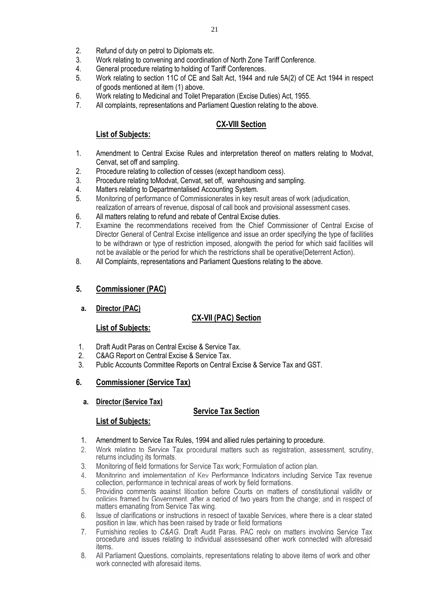- 2. Refund of duty on petrol to Diplomats etc.<br>3 Work relating to convening and coordination
- 3. Work relating to convening and coordination of North Zone Tariff Conference.
- 4. General procedure relating to holding of Tariff Conferences.
- 5. Work relating to section 11C of CE and Salt Act, 1944 and rule 5A(2) of CE Act 1944 in respect of goods mentioned at item (1) above.
- 6. Work relating to Medicinal and Toilet Preparation (Excise Duties) Act, 1955.
- 7. All complaints, representations and Parliament Question relating to the above.

## **CX-VIII Section**

### **List of Subjects:**

- 1. Amendment to Central Excise Rules and interpretation thereof on matters relating to Modvat, Cenvat, set off and sampling.
- 2. Procedure relating to collection of cesses (except handloom cess).
- 3. Procedure relating toModvat, Cenvat, set off, warehousing and sampling.
- 4. Matters relating to Departmentalised Accounting System.
- 5. Monitoring of performance of Commissionerates in key result areas of work (adjudication, realization of arrears of revenue, disposal of call book and provisional assessment cases.
- 6. All matters relating to refund and rebate of Central Excise duties.
- 7. Examine the recommendations received from the Chief Commissioner of Central Excise of Director General of Central Excise intelligence and issue an order specifying the type of facilities to be withdrawn or type of restriction imposed, alongwith the period for which said facilities will not be available or the period for which the restrictions shall be operative(Deterrent Action).
- 8. All Complaints, representations and Parliament Questions relating to the above.

### **5. Commissioner (PAC)**

**a. Director (PAC)**

### **CX-VII (PAC) Section**

### **List of Subjects:**

- 1. Draft Audit Paras on Central Excise & Service Tax.
- 2. C&AG Report on Central Excise & Service Tax.
- 3. Public Accounts Committee Reports on Central Excise & Service Tax and GST.

### **6. Commissioner (Service Tax)**

**a. Director (Service Tax)**

### **Service Tax Section**

- 1. Amendment to Service Tax Rules, 1994 and allied rules pertaining to procedure.
- 2. Work relating to Service Tax procedural matters such as registration, assessment, scrutiny, returns including its formats.
- 3. Monitoring of field formations for Service Tax work; Formulation of action plan.
- 4. Monitoring and implementation of Key Performance Indicators including Service Tax revenue collection, performance in technical areas of work by field formations.
- 5. Providing comments against litigation before Courts on matters of constitutional validity or policies framed by Government, after a period of two years from the change; and in respect of matters emanating from Service Tax wing.
- 6. Issue of clarifications or instructions in respect of taxable Services, where there is a clear stated position in law, which has been raised by trade or field formations
- 7. Furnishing replies to *C&AG,* Draft Audit Paras, PAC reply on matters involving Service Tax procedure and issues relating to individual assessesand other work connected with aforesaid items.
- 8. All Parliament Questions, complaints, representations relating to above items of work and other work connected with aforesaid items.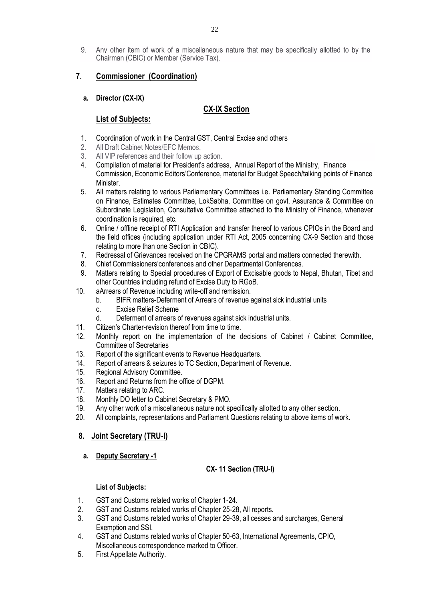## **7. Commissioner (Coordination)**

Chairman (CBIC) or Member (Service Tax).

## **a. Director (CX-IX)**

## **CX-IX Section**

## **List of Subjects:**

- 1. Coordination of work in the Central GST, Central Excise and others
- 2. All Draft Cabinet Notes/FFC Memos
- 3. All VIP references and their follow up action.
- 4. Compilation of material for President's address, Annual Report of the Ministry, Finance Commission, Economic Editors'Conference, material for Budget Speech/talking points of Finance Minister.
- 5. All matters relating to various Parliamentary Committees i.e. Parliamentary Standing Committee on Finance, Estimates Committee, LokSabha, Committee on govt. Assurance & Committee on Subordinate Legislation, Consultative Committee attached to the Ministry of Finance, whenever coordination is required, etc.
- 6. Online / offline receipt of RTI Application and transfer thereof to various CPIOs in the Board and the field offices (including application under RTI Act, 2005 concerning CX-9 Section and those relating to more than one Section in CBIC).
- 7. Redressal of Grievances received on the CPGRAMS portal and matters connected therewith.
- 8. Chief Commissioners'conferences and other Departmental Conferences.
- 9. Matters relating to Special procedures of Export of Excisable goods to Nepal, Bhutan, Tibet and other Countries including refund of Excise Duty to RGoB.
- 10. aArrears of Revenue including write-off and remission.
	- b. BIFR matters-Deferment of Arrears of revenue against sick industrial units
	- c. Excise Relief Scheme
	- d. Deferment of arrears of revenues against sick industrial units.
- 11. Citizen's Charter-revision thereof from time to time.
- 12. Monthly report on the implementation of the decisions of Cabinet / Cabinet Committee, Committee of Secretaries
- 13. Report of the significant events to Revenue Headquarters.
- 14. Report of arrears & seizures to TC Section, Department of Revenue.
- 15. Regional Advisory Committee.
- 16. Report and Returns from the office of DGPM.
- 17. Matters relating to ARC.
- 18. Monthly DO letter to Cabinet Secretary & PMO.
- 19. Any other work of a miscellaneous nature not specifically allotted to any other section.
- 20. All complaints, representations and Parliament Questions relating to above items of work.

## **8. Joint Secretary (TRU-I)**

**a. Deputy Secretary -1**

## **CX- 11 Section (TRU-I)**

- 1. GST and Customs related works of Chapter 1-24.
- 2. GST and Customs related works of Chapter 25-28, All reports.
- 3. GST and Customs related works of Chapter 29-39, all cesses and surcharges, General Exemption and SSI.
- 4. GST and Customs related works of Chapter 50-63, International Agreements, CPIO, Miscellaneous correspondence marked to Officer.
- 5. First Appellate Authority.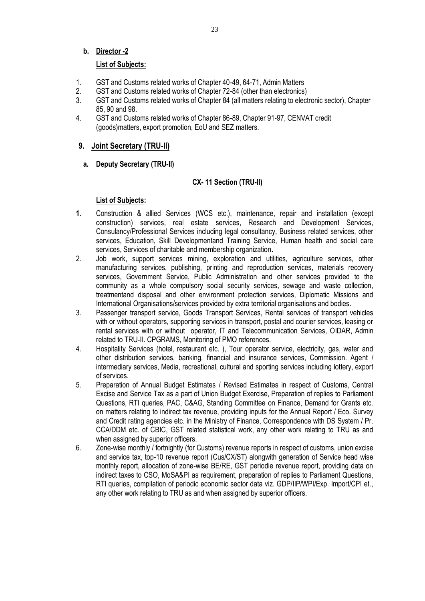### **b. Director -2**

### **List of Subjects:**

- 1. GST and Customs related works of Chapter 40-49, 64-71, Admin Matters
- 2. GST and Customs related works of Chapter 72-84 (other than electronics)<br>3. GST and Customs related works of Chapter 84 (all matters relating to electronics)
- GST and Customs related works of Chapter 84 (all matters relating to electronic sector), Chapter 85, 90 and 98.
- 4. GST and Customs related works of Chapter 86-89, Chapter 91-97, CENVAT credit (goods)matters, export promotion, EoU and SEZ matters.

### **9. Joint Secretary (TRU-II)**

**a. Deputy Secretary (TRU-II)**

### **CX- 11 Section (TRU-II)**

- **1.** Construction & allied Services (WCS etc.), maintenance, repair and installation (except construction) services, real estate services, Research and Development Services, Consulancy/Professional Services including legal consultancy, Business related services, other services, Education, Skill Developmentand Training Service, Human health and social care services, Services of charitable and membership organization**.**
- 2. Job work, support services mining, exploration and utilities, agriculture services, other manufacturing services, publishing, printing and reproduction services, materials recovery services, Government Service, Public Administration and other services provided to the community as a whole compulsory social security services, sewage and waste collection, treatmentand disposal and other environment protection services, Diplomatic Missions and International Organisations/services provided by extra territorial organisations and bodies.
- 3. Passenger transport service, Goods Transport Services, Rental services of transport vehicles with or without operators, supporting services in transport, postal and courier services, leasing or rental services with or without operator, IT and Telecommunication Services, OIDAR, Admin related to TRU-II. CPGRAMS, Monitoring of PMO references.
- 4. Hospitality Services (hotel, restaurant etc. ), Tour operator service, electricity, gas, water and other distribution services, banking, financial and insurance services, Commission. Agent / intermediary services, Media, recreational, cultural and sporting services including lottery, export of services.
- 5. Preparation of Annual Budget Estimates / Revised Estimates in respect of Customs, Central Excise and Service Tax as a part of Union Budget Exercise, Preparation of replies to Parliament Questions, RTI queries, PAC, C&AG, Standing Committee on Finance, Demand for Grants etc. on matters relating to indirect tax revenue, providing inputs for the Annual Report / Eco. Survey and Credit rating agencies etc. in the Ministry of Finance, Correspondence with DS System / Pr. CCA/DDM etc. of CBIC, GST related statistical work, any other work relating to TRU as and when assigned by superior officers.
- 6. Zone-wise monthly / fortnightly (for Customs) revenue reports in respect of customs, union excise and service tax, top-10 revenue report (Cus/CX/ST) alongwith generation of Service head wise monthly report, allocation of zone-wise BE/RE, GST periodie revenue report, providing data on indirect taxes to CSO, MoSA&PI as requirement, preparation of replies to Parliament Questions, RTI queries, compilation of periodic economic sector data viz. GDP/IIP/WPI/Exp. Import/CPI et., any other work relating to TRU as and when assigned by superior officers.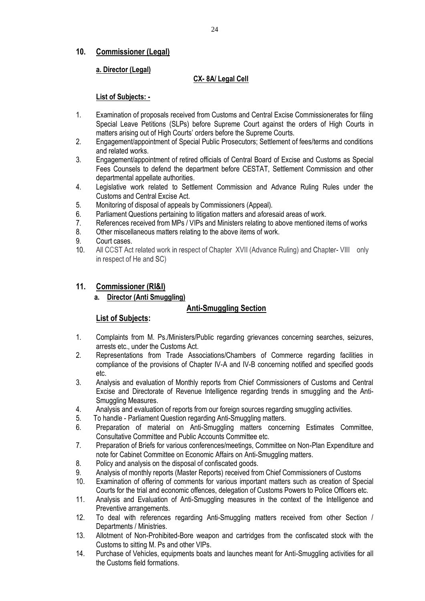## **10. Commissioner (Legal)**

## **a. Director (Legal)**

### **CX- 8A/ Legal Cell**

### **List of Subjects: -**

- 1. Examination of proposals received from Customs and Central Excise Commissionerates for filing Special Leave Petitions (SLPs) before Supreme Court against the orders of High Courts in matters arising out of High Courts' orders before the Supreme Courts.
- 2. Engagement/appointment of Special Public Prosecutors; Settlement of fees/terms and conditions and related works.
- 3. Engagement/appointment of retired officials of Central Board of Excise and Customs as Special Fees Counsels to defend the department before CESTAT, Settlement Commission and other departmental appellate authorities.
- 4. Legislative work related to Settlement Commission and Advance Ruling Rules under the Customs and Central Excise Act.
- 5. Monitoring of disposal of appeals by Commissioners (Appeal).
- 6. Parliament Questions pertaining to litigation matters and aforesaid areas of work.
- 7. References received from MPs / VIPs and Ministers relating to above mentioned items of works
- 8. Other miscellaneous matters relating to the above items of work.
- 9. Court cases.
- 10. All CCST Act related work in respect of Chapter XVII (Advance Ruling) and Chapter- VIII only in respect of He and SC)

## **11. Commissioner (RI&I)**

### **a. Director (Anti Smuggling)**

### **Anti-Smuggling Section**

- 1. Complaints from M. Ps./Ministers/Public regarding grievances concerning searches, seizures, arrests etc., under the Customs Act.
- 2. Representations from Trade Associations/Chambers of Commerce regarding facilities in compliance of the provisions of Chapter IV-A and IV-B concerning notified and specified goods etc.
- 3. Analysis and evaluation of Monthly reports from Chief Commissioners of Customs and Central Excise and Directorate of Revenue Intelligence regarding trends in smuggling and the Anti-Smuggling Measures.
- 4. Analysis and evaluation of reports from our foreign sources regarding smuggling activities.
- 5. To handle Parliament Question regarding Anti-Smuggling matters.
- 6. Preparation of material on Anti-Smuggling matters concerning Estimates Committee, Consultative Committee and Public Accounts Committee etc.
- 7. Preparation of Briefs for various conferences/meetings, Committee on Non-Plan Expenditure and note for Cabinet Committee on Economic Affairs on Anti-Smuggling matters.
- 8. Policy and analysis on the disposal of confiscated goods.
- 9. Analysis of monthly reports (Master Reports) received from Chief Commissioners of Customs
- 10. Examination of offering of comments for various important matters such as creation of Special Courts for the trial and economic offences, delegation of Customs Powers to Police Officers etc.
- 11. Analysis and Evaluation of Anti-Smuggling measures in the context of the Intelligence and Preventive arrangements.
- 12. To deal with references regarding Anti-Smuggling matters received from other Section / Departments / Ministries.
- 13. Allotment of Non-Prohibited-Bore weapon and cartridges from the confiscated stock with the Customs to sitting M. Ps and other VIPs.
- 14. Purchase of Vehicles, equipments boats and launches meant for Anti-Smuggling activities for all the Customs field formations.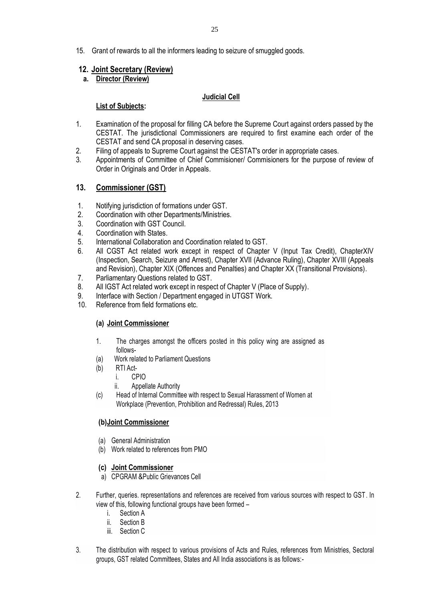15. Grant of rewards to all the informers leading to seizure of smuggled goods.

### **12. Joint Secretary (Review)**

**a. Director (Review)**

### **Judicial Cell**

### **List of Subjects:**

- 1. Examination of the proposal for filling CA before the Supreme Court against orders passed by the CESTAT. The jurisdictional Commissioners are required to first examine each order of the CESTAT and send CA proposal in deserving cases.
- 2. Filing of appeals to Supreme Court against the CESTAT's order in appropriate cases.
- 3. Appointments of Committee of Chief Commisioner/ Commisioners for the purpose of review of Order in Originals and Order in Appeals.

### **13. Commissioner (GST)**

- 1. Notifying jurisdiction of formations under GST.
- 2. Coordination with other Departments/Ministries.<br>3. Coordination with GST Council
- Coordination with GST Council.
- 4. Coordination with States.
- 5. International Collaboration and Coordination related to GST.
- 6. All CGST Act related work except in respect of Chapter V (Input Tax Credit), ChapterXIV (Inspection, Search, Seizure and Arrest), Chapter XVII (Advance Ruling), Chapter XVIII (Appeals and Revision), Chapter XIX (Offences and Penalties) and Chapter XX (Transitional Provisions).
- 7. Parliamentary Questions related to GST.
- 8. All IGST Act related work except in respect of Chapter V (Place of Supply).
- 9. Interface with Section / Department engaged in UTGST Work.
- 10. Reference from field formations etc.

#### **(a) Joint Commissioner**

- 1. The charges amongst the officers posted in this policy wing are assigned as follows-
- (a) Work related to Parliament Questions
- (b) RTI Act
	- i. CPIO
	- ii. Appellate Authority
- (c) Head of Internal Committee with respect to Sexual Harassment of Women at Workplace (Prevention, Prohibition and Redressal) Rules, 2013

#### **(b)Joint Commissioner**

- (a) General Administration
- (b) Work related to references from PMO

#### **(c) Joint Commissioner**

- a) CPGRAM &Public Grievances Cell
- 2. Further, queries. representations and references are received from various sources with respect to GST. In view of this, following functional groups have been formed –
	- i. Section A
	- ii. Section B
	- iii. Section C
- 3. The distribution with respect to various provisions of Acts and Rules, references from Ministries, Sectoral groups, GST related Committees, States and All India associations is as follows:-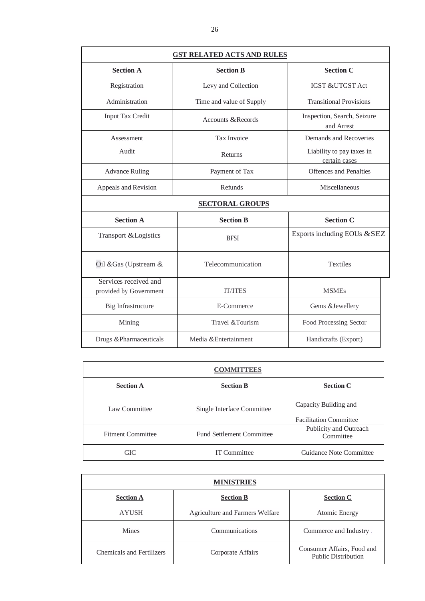| <b>GST RELATED ACTS AND RULES</b>               |                          |                                            |  |
|-------------------------------------------------|--------------------------|--------------------------------------------|--|
| <b>Section A</b>                                | <b>Section B</b>         | <b>Section C</b>                           |  |
| Registration                                    | Levy and Collection      | <b>IGST &amp;UTGST Act</b>                 |  |
| Administration                                  | Time and value of Supply | <b>Transitional Provisions</b>             |  |
| <b>Input Tax Credit</b>                         | Accounts & Records       | Inspection, Search, Seizure<br>and Arrest  |  |
| Assessment                                      | Tax Invoice              | Demands and Recoveries                     |  |
| Audit                                           | Returns                  | Liability to pay taxes in<br>certain cases |  |
| <b>Advance Ruling</b>                           | Payment of Tax           | <b>Offences</b> and Penalties              |  |
| Appeals and Revision                            | Refunds                  | Miscellaneous                              |  |
|                                                 | <b>SECTORAL GROUPS</b>   |                                            |  |
| <b>Section A</b>                                | <b>Section B</b>         | <b>Section C</b>                           |  |
| Transport & Logistics                           | <b>BFSI</b>              | Exports including EOUs &SEZ                |  |
| Oil & Gas (Upstream &                           | Telecommunication        | <b>Textiles</b>                            |  |
| Services received and<br>provided by Government | <b>IT/ITES</b>           | <b>MSMEs</b>                               |  |
| Big Infrastructure                              | E-Commerce               | Gems & Jewellery                           |  |
| Mining                                          | Travel & Tourism         | Food Processing Sector                     |  |
| Drugs &Pharmaceuticals                          | Media & Entertainment    | Handicrafts (Export)                       |  |

| <b>COMMITTEES</b>        |                                  |                                                        |  |
|--------------------------|----------------------------------|--------------------------------------------------------|--|
| <b>Section A</b>         | <b>Section B</b>                 | <b>Section C</b>                                       |  |
| Law Committee            | Single Interface Committee       | Capacity Building and<br><b>Facilitation Committee</b> |  |
| <b>Fitment Committee</b> | <b>Fund Settlement Committee</b> | Publicity and Outreach<br>Committee                    |  |
| GIC                      | <b>IT Committee</b>              | Guidance Note Committee                                |  |

| <b>MINISTRIES</b>                |                                 |                                                          |  |
|----------------------------------|---------------------------------|----------------------------------------------------------|--|
| <b>Section A</b>                 | <b>Section B</b>                | <b>Section C</b>                                         |  |
| <b>AYUSH</b>                     | Agriculture and Farmers Welfare | Atomic Energy                                            |  |
| <b>Mines</b>                     | Communications                  | Commerce and Industry.                                   |  |
| <b>Chemicals and Fertilizers</b> | Corporate Affairs               | Consumer Affairs, Food and<br><b>Public Distribution</b> |  |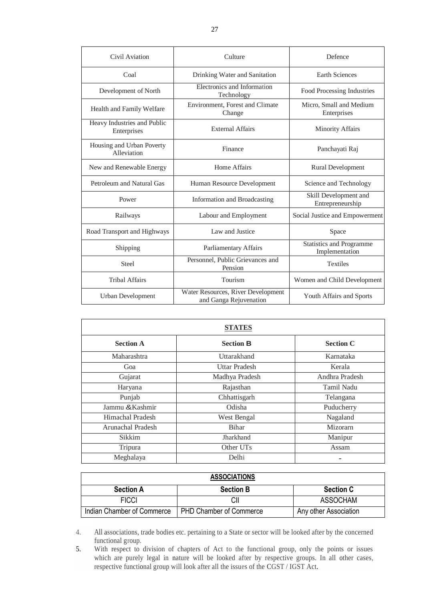| Civil Aviation                             | Culture                                                      | Defence                                    |
|--------------------------------------------|--------------------------------------------------------------|--------------------------------------------|
| Coal                                       | Drinking Water and Sanitation                                | <b>Earth Sciences</b>                      |
| Development of North                       | Electronics and Information<br>Technology                    | Food Processing Industries                 |
| Health and Family Welfare                  | Environment, Forest and Climate<br>Change                    | Micro, Small and Medium<br>Enterprises     |
| Heavy Industries and Public<br>Enterprises | <b>External Affairs</b>                                      | <b>Minority Affairs</b>                    |
| Housing and Urban Poverty<br>Alleviation   | Finance                                                      | Panchayati Raj                             |
| New and Renewable Energy                   | Home Affairs                                                 | <b>Rural Development</b>                   |
| Petroleum and Natural Gas                  | Human Resource Development                                   | Science and Technology                     |
| Power                                      | Information and Broadcasting                                 | Skill Development and<br>Entrepreneurship  |
| Railways                                   | Labour and Employment                                        | Social Justice and Empowerment             |
| Road Transport and Highways                | Law and Justice                                              | Space                                      |
| Shipping                                   | Parliamentary Affairs                                        | Statistics and Programme<br>Implementation |
| <b>Steel</b>                               | Personnel, Public Grievances and<br>Pension                  | <b>Textiles</b>                            |
| <b>Tribal Affairs</b>                      | Tourism                                                      | Women and Child Development                |
| Urban Development                          | Water Resources, River Development<br>and Ganga Rejuvenation | Youth Affairs and Sports                   |

| <b>STATES</b>     |                      |                  |  |
|-------------------|----------------------|------------------|--|
| <b>Section A</b>  | <b>Section B</b>     | <b>Section C</b> |  |
| Maharashtra       | Uttarakhand          | Karnataka        |  |
| Goa               | <b>Uttar Pradesh</b> | Kerala           |  |
| Gujarat           | Madhya Pradesh       | Andhra Pradesh   |  |
| Haryana           | Rajasthan            | Tamil Nadu       |  |
| Punjab            | Chhattisgarh         | Telangana        |  |
| Jammu & Kashmir   | Odisha               | Puducherry       |  |
| Himachal Pradesh  | West Bengal          | Nagaland         |  |
| Arunachal Pradesh | <b>Bihar</b>         | Mizorarn         |  |
| Sikkim            | Jharkhand            | Manipur          |  |
| Tripura           | Other UTs            | Assam            |  |
| Meghalaya         | Delhi                |                  |  |

| <b>ASSOCIATIONS</b>        |                                |                       |
|----------------------------|--------------------------------|-----------------------|
| <b>Section A</b>           | <b>Section B</b>               | <b>Section C</b>      |
| <b>FICCI</b>               |                                | ASSOCHAM              |
| Indian Chamber of Commerce | <b>PHD Chamber of Commerce</b> | Any other Association |

<sup>4.</sup> All associations, trade bodies etc. pertaining to a State or sector will be looked after by the concerned functional group.

<sup>5.</sup> With respect to division of chapters of Act to the functional group, only the points or issues which are purely legal in nature will be looked after by respective groups. In all other cases, respective functional group will look after all the issues of the CGST / IGST Act.